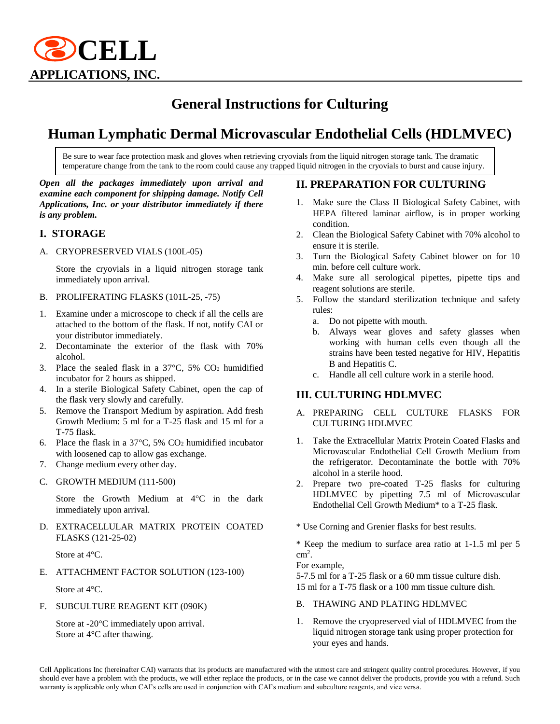

# **General Instructions for Culturing**

# **Human Lymphatic Dermal Microvascular Endothelial Cells (HDLMVEC)**

Be sure to wear face protection mask and gloves when retrieving cryovials from the liquid nitrogen storage tank. The dramatic temperature change from the tank to the room could cause any trapped liquid nitrogen in the cryovials to burst and cause injury.

#### *Open all the packages immediately upon arrival and examine each component for shipping damage. Notify Cell Applications, Inc. or your distributor immediately if there is any problem.*

## **I. STORAGE**

A. CRYOPRESERVED VIALS (100L-05)

Store the cryovials in a liquid nitrogen storage tank immediately upon arrival.

- B. PROLIFERATING FLASKS (101L-25, -75)
- 1. Examine under a microscope to check if all the cells are attached to the bottom of the flask. If not, notify CAI or your distributor immediately.
- 2. Decontaminate the exterior of the flask with 70% alcohol.
- 3. Place the sealed flask in a  $37^{\circ}$ C,  $5\%$  CO<sub>2</sub> humidified incubator for 2 hours as shipped.
- 4. In a sterile Biological Safety Cabinet, open the cap of the flask very slowly and carefully.
- 5. Remove the Transport Medium by aspiration. Add fresh Growth Medium: 5 ml for a T-25 flask and 15 ml for a T-75 flask.
- 6. Place the flask in a 37°C, 5% CO<sup>2</sup> humidified incubator with loosened cap to allow gas exchange.
- 7. Change medium every other day.
- C. GROWTH MEDIUM (111-500)

Store the Growth Medium at 4°C in the dark immediately upon arrival.

D. EXTRACELLULAR MATRIX PROTEIN COATED FLASKS (121-25-02)

Store at 4°C.

E. ATTACHMENT FACTOR SOLUTION (123-100)

Store at 4°C.

F. SUBCULTURE REAGENT KIT (090K)

Store at -20°C immediately upon arrival. Store at 4°C after thawing.

#### **II. PREPARATION FOR CULTURING**

- Make sure the Class II Biological Safety Cabinet, with HEPA filtered laminar airflow, is in proper working condition.
- 2. Clean the Biological Safety Cabinet with 70% alcohol to ensure it is sterile.
- 3. Turn the Biological Safety Cabinet blower on for 10 min. before cell culture work.
- 4. Make sure all serological pipettes, pipette tips and reagent solutions are sterile.
- 5. Follow the standard sterilization technique and safety rules:
	- a. Do not pipette with mouth.
	- b. Always wear gloves and safety glasses when working with human cells even though all the strains have been tested negative for HIV, Hepatitis B and Hepatitis C.
	- c. Handle all cell culture work in a sterile hood.

#### **III. CULTURING HDLMVEC**

- A. PREPARING CELL CULTURE FLASKS FOR CULTURING HDLMVEC
- 1. Take the Extracellular Matrix Protein Coated Flasks and Microvascular Endothelial Cell Growth Medium from the refrigerator. Decontaminate the bottle with 70% alcohol in a sterile hood.
- 2. Prepare two pre-coated T-25 flasks for culturing HDLMVEC by pipetting 7.5 ml of Microvascular Endothelial Cell Growth Medium\* to a T-25 flask.
- \* Use Corning and Grenier flasks for best results.

\* Keep the medium to surface area ratio at 1-1.5 ml per 5 cm<sup>2</sup> .

For example,

5-7.5 ml for a T-25 flask or a 60 mm tissue culture dish. 15 ml for a T-75 flask or a 100 mm tissue culture dish.

- B. THAWING AND PLATING HDLMVEC
- 1. Remove the cryopreserved vial of HDLMVEC from the liquid nitrogen storage tank using proper protection for your eyes and hands.

Cell Applications Inc (hereinafter CAI) warrants that its products are manufactured with the utmost care and stringent quality control procedures. However, if you should ever have a problem with the products, we will either replace the products, or in the case we cannot deliver the products, provide you with a refund. Such warranty is applicable only when CAI's cells are used in conjunction with CAI's medium and subculture reagents, and vice versa.